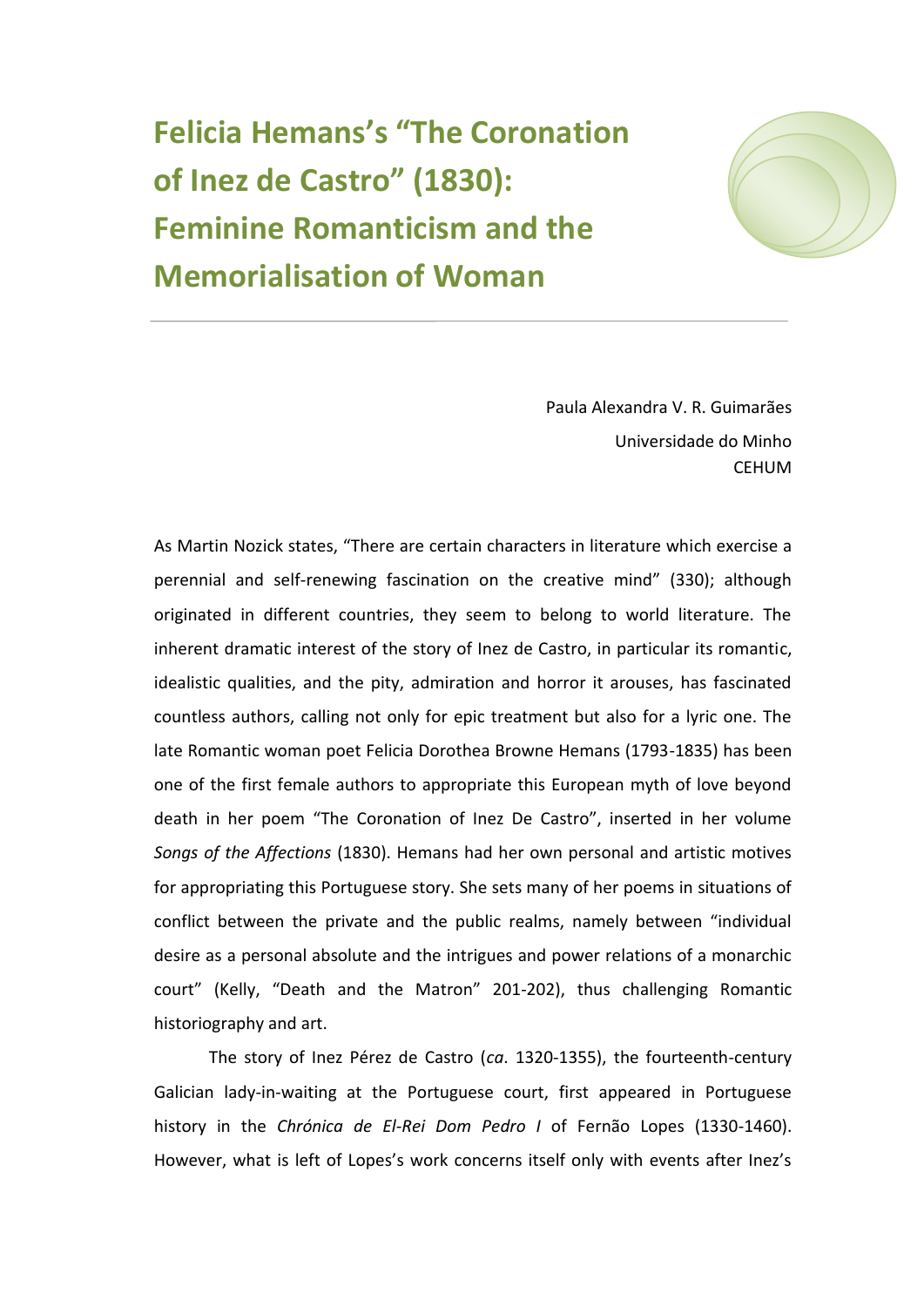**Felicia Hemans's "The Coronation of Inez de Castro" (1830): Feminine Romanticism and the Memorialisation of Woman**



Paula Alexandra V. R. Guimarães Universidade do Minho **CEHUM** 

As Martin Nozick states, "There are certain characters in literature which exercise a perennial and self-renewing fascination on the creative mind" (330); although originated in different countries, they seem to belong to world literature. The inherent dramatic interest of the story of Inez de Castro, in particular its romantic, idealistic qualities, and the pity, admiration and horror it arouses, has fascinated countless authors, calling not only for epic treatment but also for a lyric one. The late Romantic woman poet Felicia Dorothea Browne Hemans (1793-1835) has been one of the first female authors to appropriate this European myth of love beyond death in her poem "The Coronation of Inez De Castro", inserted in her volume *Songs of the Affections* (1830). Hemans had her own personal and artistic motives for appropriating this Portuguese story. She sets many of her poems in situations of conflict between the private and the public realms, namely between "individual desire as a personal absolute and the intrigues and power relations of a monarchic court" (Kelly, "Death and the Matron" 201-202), thus challenging Romantic historiography and art.

The story of Inez Pérez de Castro (*ca*. 1320-1355), the fourteenth-century Galician lady-in-waiting at the Portuguese court, first appeared in Portuguese history in the *Chrónica de El-Rei Dom Pedro I* of Fernão Lopes (1330-1460). However, what is left of Lopes's work concerns itself only with events after Inez's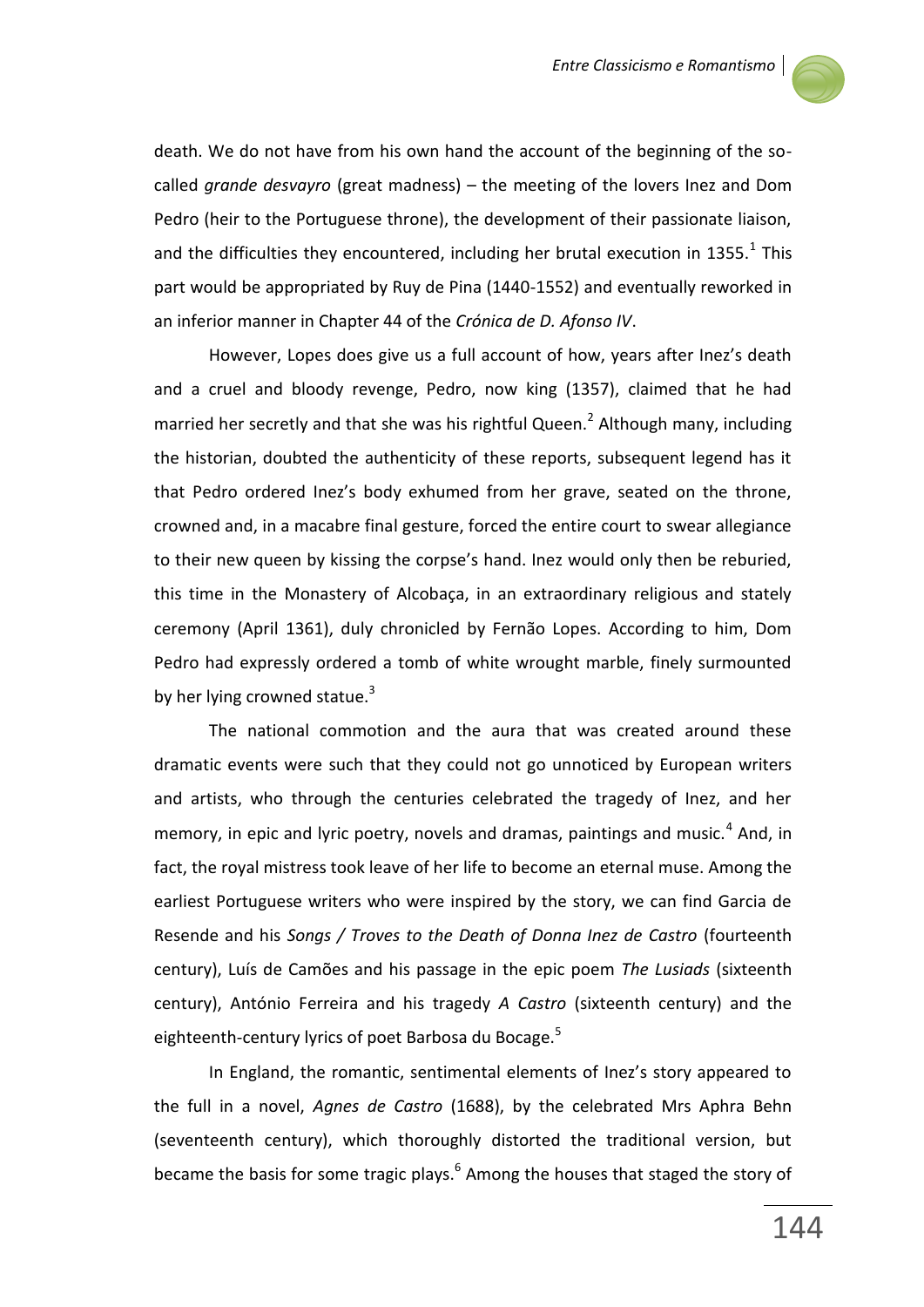

death. We do not have from his own hand the account of the beginning of the socalled *grande desvayro* (great madness) – the meeting of the lovers Inez and Dom Pedro (heir to the Portuguese throne), the development of their passionate liaison, and the difficulties they encountered, including her brutal execution in 1355. $^{1}$  This part would be appropriated by Ruy de Pina (1440-1552) and eventually reworked in an inferior manner in Chapter 44 of the *Crónica de D. Afonso IV*.

However, Lopes does give us a full account of how, years after Inez's death and a cruel and bloody revenge, Pedro, now king (1357), claimed that he had married her secretly and that she was his rightful Queen.<sup>2</sup> Although many, including the historian, doubted the authenticity of these reports, subsequent legend has it that Pedro ordered Inez's body exhumed from her grave, seated on the throne, crowned and, in a macabre final gesture, forced the entire court to swear allegiance to their new queen by kissing the corpse's hand. Inez would only then be reburied, this time in the Monastery of Alcobaça, in an extraordinary religious and stately ceremony (April 1361), duly chronicled by Fernão Lopes. According to him, Dom Pedro had expressly ordered a tomb of white wrought marble, finely surmounted by her lying crowned statue. $3$ 

The national commotion and the aura that was created around these dramatic events were such that they could not go unnoticed by European writers and artists, who through the centuries celebrated the tragedy of Inez, and her memory, in epic and lyric poetry, novels and dramas, paintings and music.<sup>4</sup> And, in fact, the royal mistress took leave of her life to become an eternal muse. Among the earliest Portuguese writers who were inspired by the story, we can find Garcia de Resende and his *Songs / Troves to the Death of Donna Inez de Castro* (fourteenth century), Luís de Camões and his passage in the epic poem *The Lusiads* (sixteenth century), António Ferreira and his tragedy *A Castro* (sixteenth century) and the eighteenth-century lyrics of poet Barbosa du Bocage.<sup>5</sup>

In England, the romantic, sentimental elements of Inez's story appeared to the full in a novel, *Agnes de Castro* (1688), by the celebrated Mrs Aphra Behn (seventeenth century), which thoroughly distorted the traditional version, but became the basis for some tragic plays.<sup>6</sup> Among the houses that staged the story of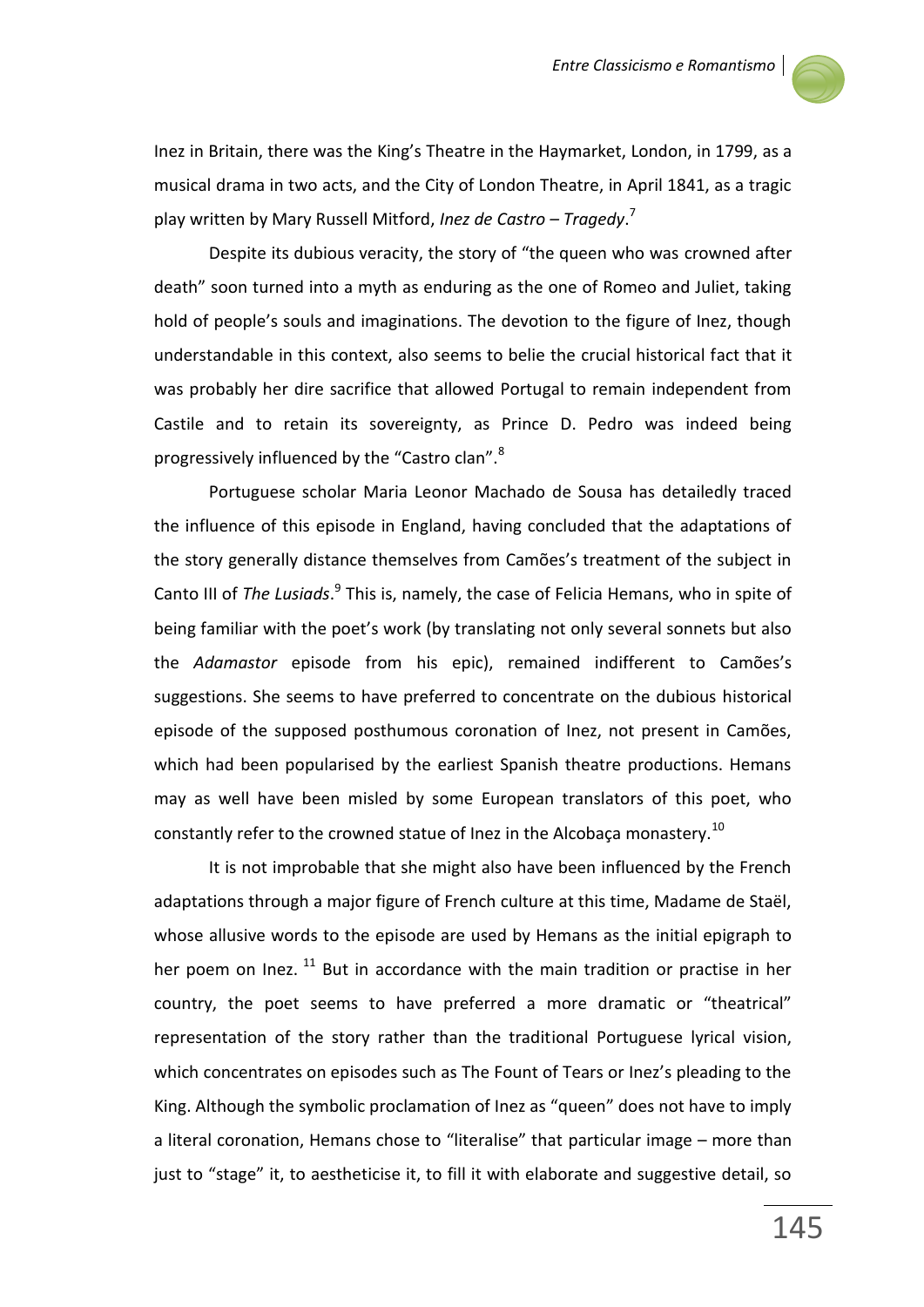

Inez in Britain, there was the King's Theatre in the Haymarket, London, in 1799, as a musical drama in two acts, and the City of London Theatre, in April 1841, as a tragic play written by Mary Russell Mitford, *Inez de Castro – Tragedy*. 7

Despite its dubious veracity, the story of "the queen who was crowned after death" soon turned into a myth as enduring as the one of Romeo and Juliet, taking hold of people's souls and imaginations. The devotion to the figure of Inez, though understandable in this context, also seems to belie the crucial historical fact that it was probably her dire sacrifice that allowed Portugal to remain independent from Castile and to retain its sovereignty, as Prince D. Pedro was indeed being progressively influenced by the "Castro clan".<sup>8</sup>

Portuguese scholar Maria Leonor Machado de Sousa has detailedly traced the influence of this episode in England, having concluded that the adaptations of the story generally distance themselves from Camões's treatment of the subject in Canto III of *The Lusiads.*<sup>9</sup> This is, namely, the case of Felicia Hemans, who in spite of being familiar with the poet's work (by translating not only several sonnets but also the *Adamastor* episode from his epic), remained indifferent to Camões's suggestions. She seems to have preferred to concentrate on the dubious historical episode of the supposed posthumous coronation of Inez, not present in Camões, which had been popularised by the earliest Spanish theatre productions. Hemans may as well have been misled by some European translators of this poet, who constantly refer to the crowned statue of lnez in the Alcobaça monastery.<sup>10</sup>

It is not improbable that she might also have been influenced by the French adaptations through a major figure of French culture at this time, Madame de Staël, whose allusive words to the episode are used by Hemans as the initial epigraph to her poem on Inez.  $^{11}$  But in accordance with the main tradition or practise in her country, the poet seems to have preferred a more dramatic or "theatrical" representation of the story rather than the traditional Portuguese lyrical vision, which concentrates on episodes such as The Fount of Tears or Inez's pleading to the King. Although the symbolic proclamation of Inez as "queen" does not have to imply a literal coronation, Hemans chose to "literalise" that particular image – more than just to "stage" it, to aestheticise it, to fill it with elaborate and suggestive detail, so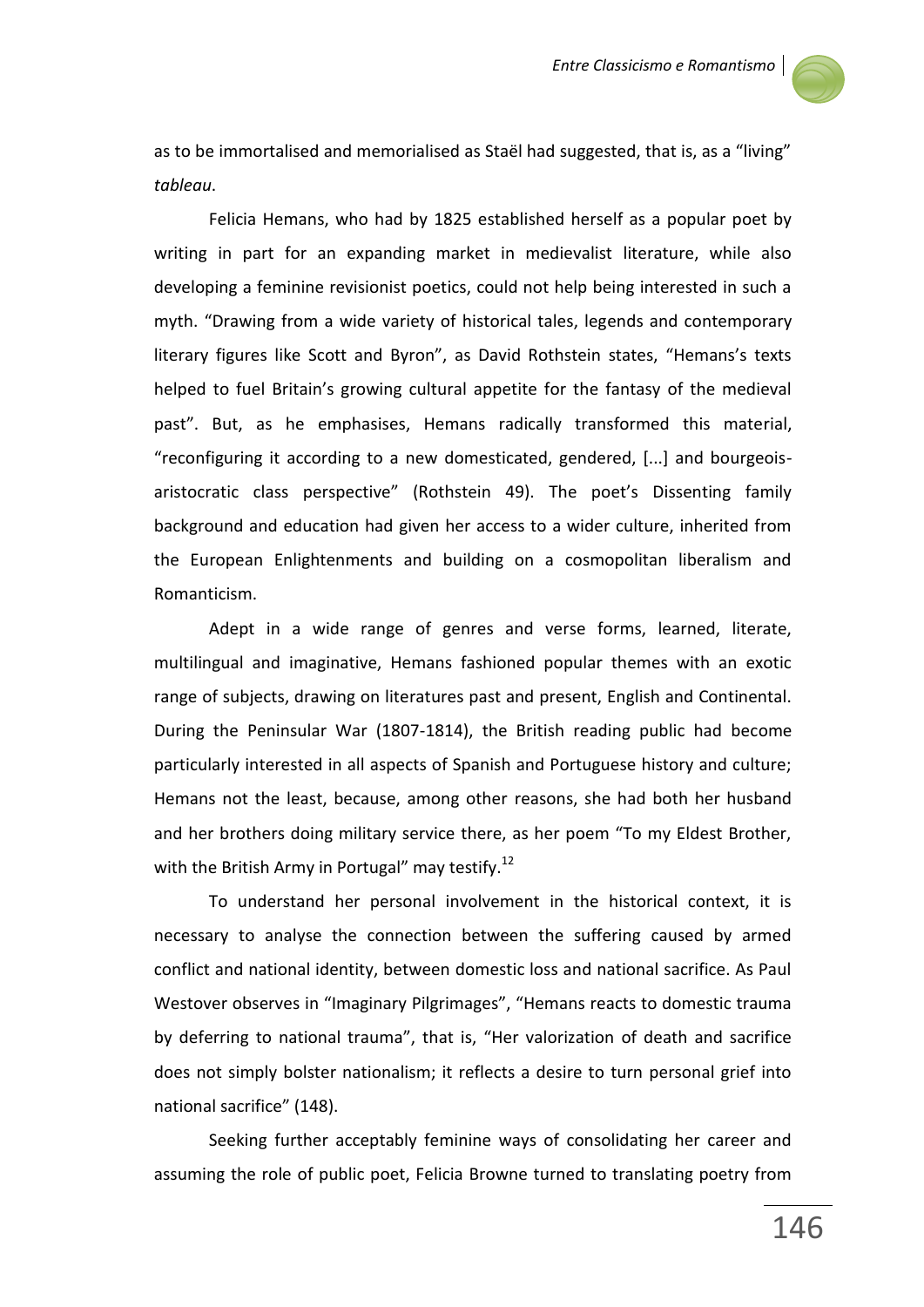

as to be immortalised and memorialised as Staël had suggested, that is, as a "living" *tableau*.

Felicia Hemans, who had by 1825 established herself as a popular poet by writing in part for an expanding market in medievalist literature, while also developing a feminine revisionist poetics, could not help being interested in such a myth. "Drawing from a wide variety of historical tales, legends and contemporary literary figures like Scott and Byron", as David Rothstein states, "Hemans's texts helped to fuel Britain's growing cultural appetite for the fantasy of the medieval past". But, as he emphasises, Hemans radically transformed this material, "reconfiguring it according to a new domesticated, gendered, [...] and bourgeoisaristocratic class perspective" (Rothstein 49). The poet's Dissenting family background and education had given her access to a wider culture, inherited from the European Enlightenments and building on a cosmopolitan liberalism and Romanticism.

Adept in a wide range of genres and verse forms, learned, literate, multilingual and imaginative, Hemans fashioned popular themes with an exotic range of subjects, drawing on literatures past and present, English and Continental. During the Peninsular War (1807-1814), the British reading public had become particularly interested in all aspects of Spanish and Portuguese history and culture; Hemans not the least, because, among other reasons, she had both her husband and her brothers doing military service there, as her poem "To my Eldest Brother, with the British Army in Portugal" may testify.<sup>12</sup>

To understand her personal involvement in the historical context, it is necessary to analyse the connection between the suffering caused by armed conflict and national identity, between domestic loss and national sacrifice. As Paul Westover observes in "Imaginary Pilgrimages", "Hemans reacts to domestic trauma by deferring to national trauma", that is, "Her valorization of death and sacrifice does not simply bolster nationalism; it reflects a desire to turn personal grief into national sacrifice" (148).

Seeking further acceptably feminine ways of consolidating her career and assuming the role of public poet, Felicia Browne turned to translating poetry from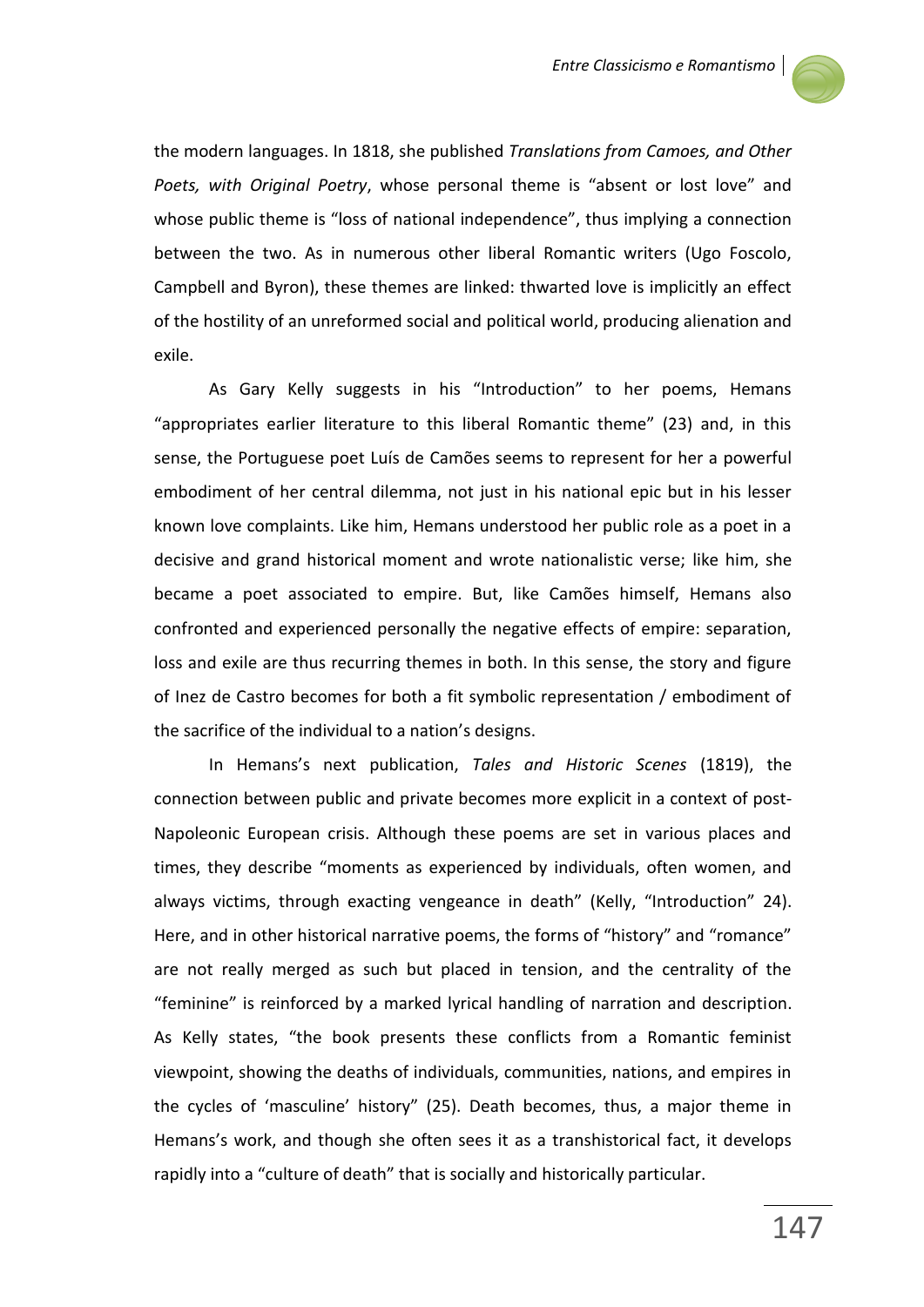

the modern languages. In 1818, she published *Translations from Camoes, and Other Poets, with Original Poetry*, whose personal theme is "absent or lost love" and whose public theme is "loss of national independence", thus implying a connection between the two. As in numerous other liberal Romantic writers (Ugo Foscolo, Campbell and Byron), these themes are linked: thwarted love is implicitly an effect of the hostility of an unreformed social and political world, producing alienation and exile.

As Gary Kelly suggests in his "Introduction" to her poems, Hemans "appropriates earlier literature to this liberal Romantic theme" (23) and, in this sense, the Portuguese poet Luís de Camões seems to represent for her a powerful embodiment of her central dilemma, not just in his national epic but in his lesser known love complaints. Like him, Hemans understood her public role as a poet in a decisive and grand historical moment and wrote nationalistic verse; like him, she became a poet associated to empire. But, like Camões himself, Hemans also confronted and experienced personally the negative effects of empire: separation, loss and exile are thus recurring themes in both. In this sense, the story and figure of Inez de Castro becomes for both a fit symbolic representation / embodiment of the sacrifice of the individual to a nation's designs.

In Hemans's next publication, *Tales and Historic Scenes* (1819), the connection between public and private becomes more explicit in a context of post-Napoleonic European crisis. Although these poems are set in various places and times, they describe "moments as experienced by individuals, often women, and always victims, through exacting vengeance in death" (Kelly, "Introduction" 24). Here, and in other historical narrative poems, the forms of "history" and "romance" are not really merged as such but placed in tension, and the centrality of the "feminine" is reinforced by a marked lyrical handling of narration and description. As Kelly states, "the book presents these conflicts from a Romantic feminist viewpoint, showing the deaths of individuals, communities, nations, and empires in the cycles of 'masculine' history" (25). Death becomes, thus, a major theme in Hemans's work, and though she often sees it as a transhistorical fact, it develops rapidly into a "culture of death" that is socially and historically particular.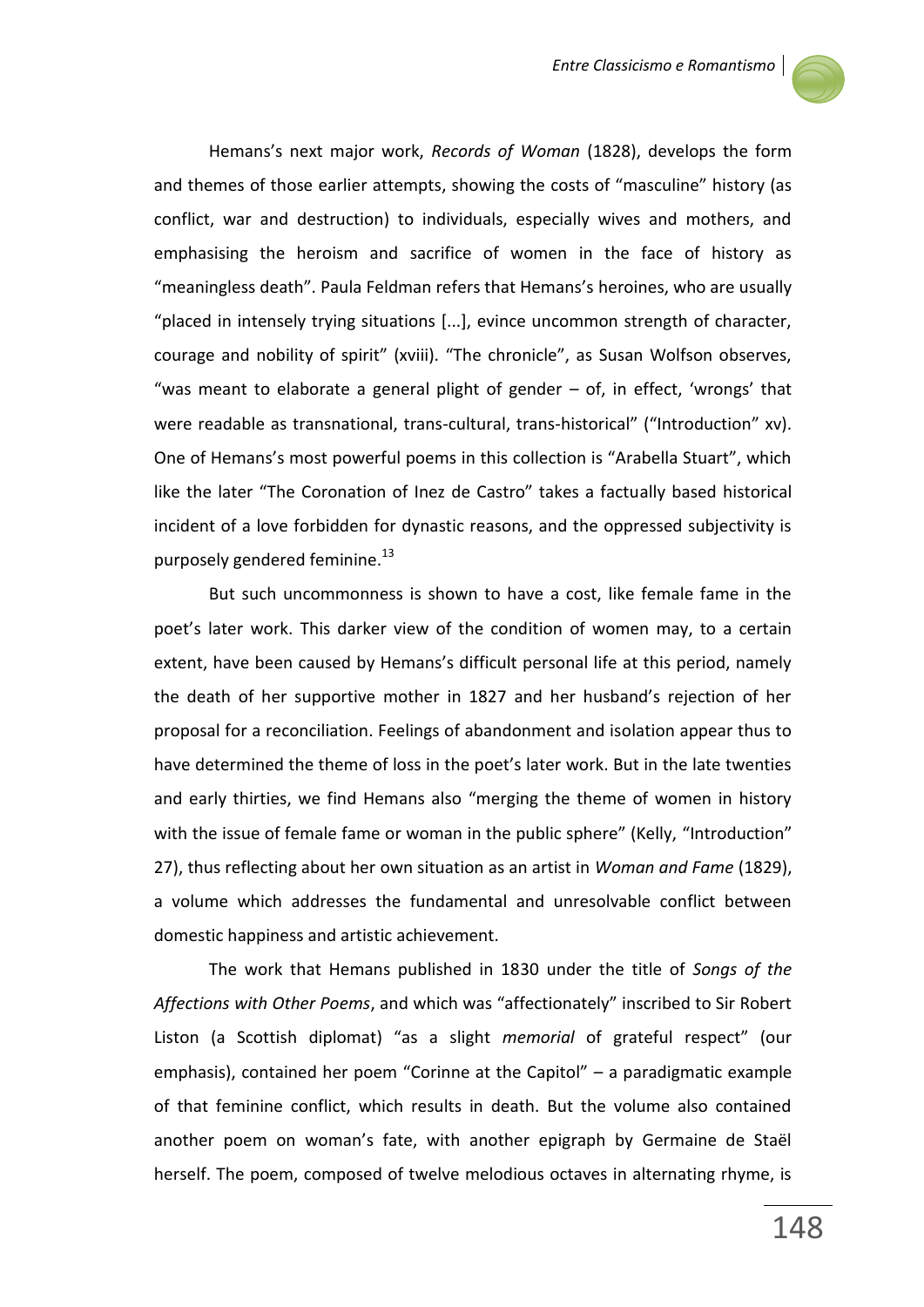

Hemans's next major work, *Records of Woman* (1828), develops the form and themes of those earlier attempts, showing the costs of "masculine" history (as conflict, war and destruction) to individuals, especially wives and mothers, and emphasising the heroism and sacrifice of women in the face of history as "meaningless death". Paula Feldman refers that Hemans's heroines, who are usually "placed in intensely trying situations [...], evince uncommon strength of character, courage and nobility of spirit" (xviii). "The chronicle", as Susan Wolfson observes, "was meant to elaborate a general plight of gender – of, in effect, 'wrongs' that were readable as transnational, trans-cultural, trans-historical" ("Introduction" xv). One of Hemans's most powerful poems in this collection is "Arabella Stuart", which like the later "The Coronation of Inez de Castro" takes a factually based historical incident of a love forbidden for dynastic reasons, and the oppressed subjectivity is purposely gendered feminine.<sup>13</sup>

But such uncommonness is shown to have a cost, like female fame in the poet's later work. This darker view of the condition of women may, to a certain extent, have been caused by Hemans's difficult personal life at this period, namely the death of her supportive mother in 1827 and her husband's rejection of her proposal for a reconciliation. Feelings of abandonment and isolation appear thus to have determined the theme of loss in the poet's later work. But in the late twenties and early thirties, we find Hemans also "merging the theme of women in history with the issue of female fame or woman in the public sphere" (Kelly, "Introduction" 27), thus reflecting about her own situation as an artist in *Woman and Fame* (1829), a volume which addresses the fundamental and unresolvable conflict between domestic happiness and artistic achievement.

The work that Hemans published in 1830 under the title of *Songs of the Affections with Other Poems*, and which was "affectionately" inscribed to Sir Robert Liston (a Scottish diplomat) "as a slight *memorial* of grateful respect" (our emphasis), contained her poem "Corinne at the Capitol" – a paradigmatic example of that feminine conflict, which results in death. But the volume also contained another poem on woman's fate, with another epigraph by Germaine de Staël herself. The poem, composed of twelve melodious octaves in alternating rhyme, is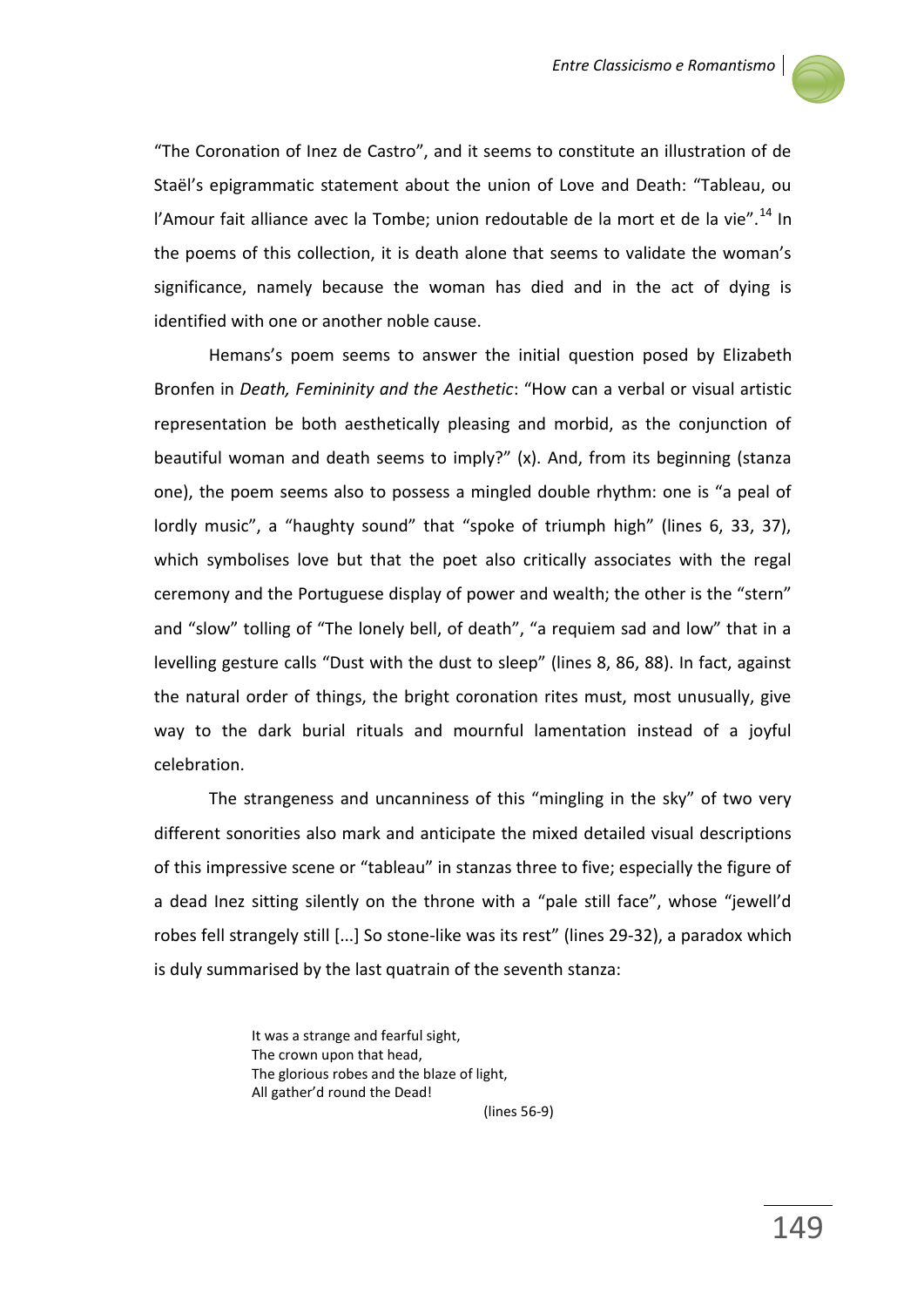

"The Coronation of Inez de Castro", and it seems to constitute an illustration of de Staël's epigrammatic statement about the union of Love and Death: "Tableau, ou l'Amour fait alliance avec la Tombe; union redoutable de la mort et de la vie".<sup>14</sup> In the poems of this collection, it is death alone that seems to validate the woman's significance, namely because the woman has died and in the act of dying is identified with one or another noble cause.

Hemans's poem seems to answer the initial question posed by Elizabeth Bronfen in *Death, Femininity and the Aesthetic*: "How can a verbal or visual artistic representation be both aesthetically pleasing and morbid, as the conjunction of beautiful woman and death seems to imply?" (x). And, from its beginning (stanza one), the poem seems also to possess a mingled double rhythm: one is "a peal of lordly music", a "haughty sound" that "spoke of triumph high" (lines 6, 33, 37), which symbolises love but that the poet also critically associates with the regal ceremony and the Portuguese display of power and wealth; the other is the "stern" and "slow" tolling of "The lonely bell, of death", "a requiem sad and low" that in a levelling gesture calls "Dust with the dust to sleep" (lines 8, 86, 88). In fact, against the natural order of things, the bright coronation rites must, most unusually, give way to the dark burial rituals and mournful lamentation instead of a joyful celebration.

The strangeness and uncanniness of this "mingling in the sky" of two very different sonorities also mark and anticipate the mixed detailed visual descriptions of this impressive scene or "tableau" in stanzas three to five; especially the figure of a dead Inez sitting silently on the throne with a "pale still face", whose "jewell'd robes fell strangely still [...] So stone-like was its rest" (lines 29-32), a paradox which is duly summarised by the last quatrain of the seventh stanza:

> It was a strange and fearful sight, The crown upon that head, The glorious robes and the blaze of light, All gather'd round the Dead!

(lines 56-9)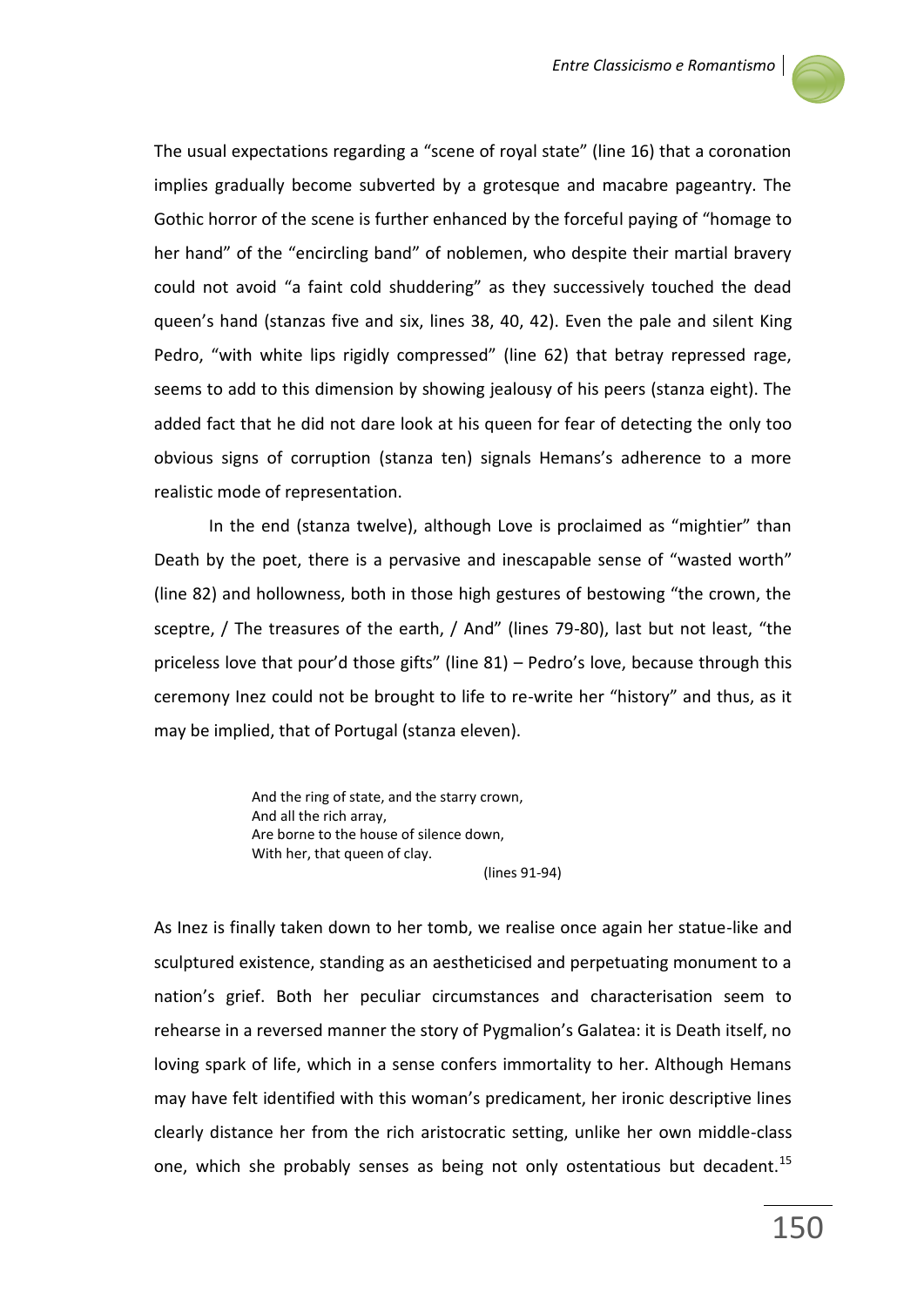

The usual expectations regarding a "scene of royal state" (line 16) that a coronation implies gradually become subverted by a grotesque and macabre pageantry. The Gothic horror of the scene is further enhanced by the forceful paying of "homage to her hand" of the "encircling band" of noblemen, who despite their martial bravery could not avoid "a faint cold shuddering" as they successively touched the dead queen's hand (stanzas five and six, lines 38, 40, 42). Even the pale and silent King Pedro, "with white lips rigidly compressed" (line 62) that betray repressed rage, seems to add to this dimension by showing jealousy of his peers (stanza eight). The added fact that he did not dare look at his queen for fear of detecting the only too obvious signs of corruption (stanza ten) signals Hemans's adherence to a more realistic mode of representation.

In the end (stanza twelve), although Love is proclaimed as "mightier" than Death by the poet, there is a pervasive and inescapable sense of "wasted worth" (line 82) and hollowness, both in those high gestures of bestowing "the crown, the sceptre, / The treasures of the earth, / And" (lines 79-80), last but not least, "the priceless love that pour'd those gifts" (line 81) – Pedro's love, because through this ceremony Inez could not be brought to life to re-write her "history" and thus, as it may be implied, that of Portugal (stanza eleven).

> And the ring of state, and the starry crown, And all the rich array, Are borne to the house of silence down, With her, that queen of clay.

(lines 91-94)

As Inez is finally taken down to her tomb, we realise once again her statue-like and sculptured existence, standing as an aestheticised and perpetuating monument to a nation's grief. Both her peculiar circumstances and characterisation seem to rehearse in a reversed manner the story of Pygmalion's Galatea: it is Death itself, no loving spark of life, which in a sense confers immortality to her. Although Hemans may have felt identified with this woman's predicament, her ironic descriptive lines clearly distance her from the rich aristocratic setting, unlike her own middle-class one, which she probably senses as being not only ostentatious but decadent.<sup>15</sup>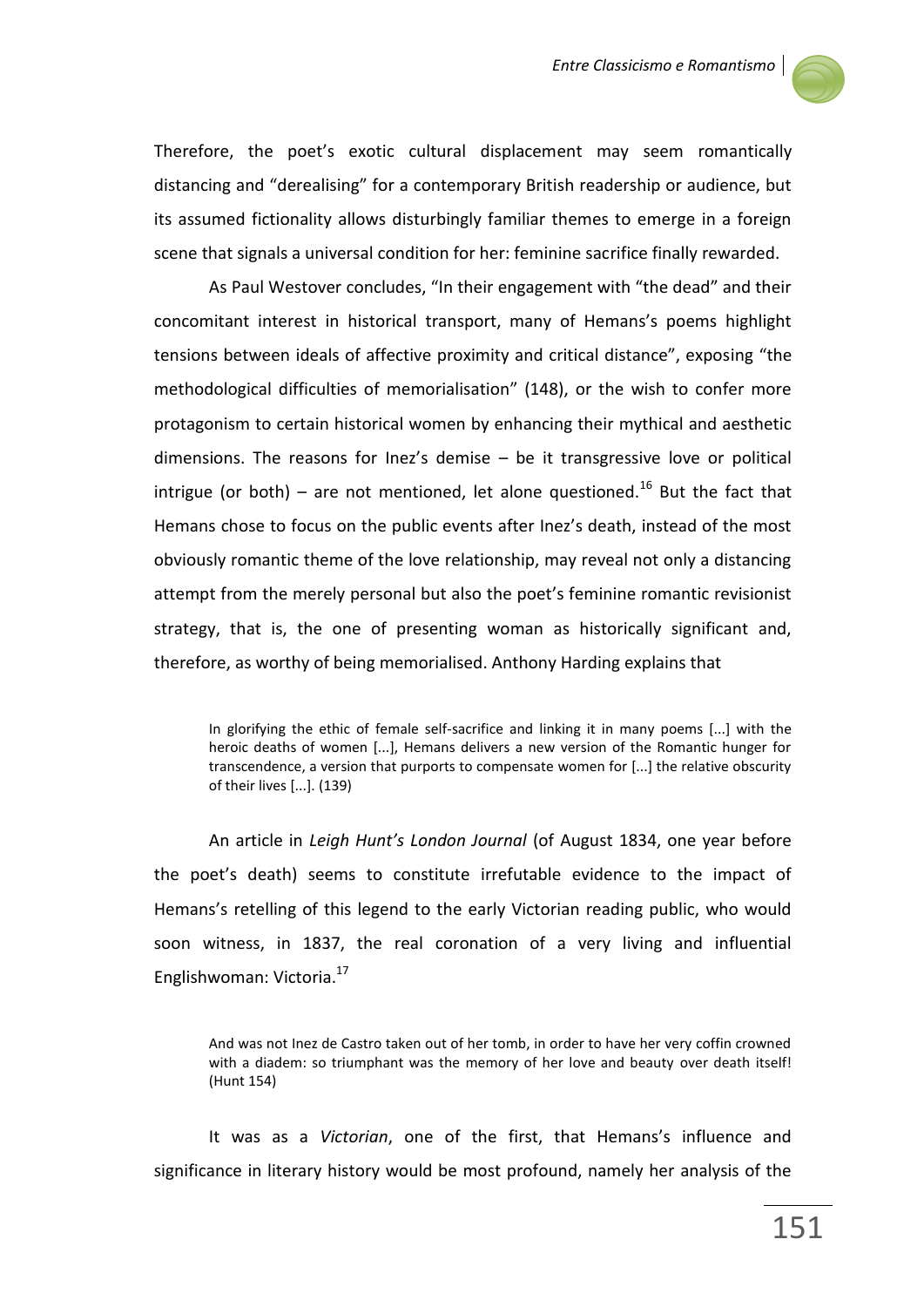

Therefore, the poet's exotic cultural displacement may seem romantically distancing and "derealising" for a contemporary British readership or audience, but its assumed fictionality allows disturbingly familiar themes to emerge in a foreign scene that signals a universal condition for her: feminine sacrifice finally rewarded.

As Paul Westover concludes, "In their engagement with "the dead" and their concomitant interest in historical transport, many of Hemans's poems highlight tensions between ideals of affective proximity and critical distance", exposing "the methodological difficulties of memorialisation" (148), or the wish to confer more protagonism to certain historical women by enhancing their mythical and aesthetic dimensions. The reasons for Inez's demise – be it transgressive love or political intrigue (or both) – are not mentioned, let alone questioned.<sup>16</sup> But the fact that Hemans chose to focus on the public events after Inez's death, instead of the most obviously romantic theme of the love relationship, may reveal not only a distancing attempt from the merely personal but also the poet's feminine romantic revisionist strategy, that is, the one of presenting woman as historically significant and, therefore, as worthy of being memorialised. Anthony Harding explains that

In glorifying the ethic of female self-sacrifice and linking it in many poems [...] with the heroic deaths of women [...], Hemans delivers a new version of the Romantic hunger for transcendence, a version that purports to compensate women for [...] the relative obscurity of their lives [...]. (139)

An article in *Leigh Hunt's London Journal* (of August 1834, one year before the poet's death) seems to constitute irrefutable evidence to the impact of Hemans's retelling of this legend to the early Victorian reading public, who would soon witness, in 1837, the real coronation of a very living and influential Englishwoman: Victoria.<sup>17</sup>

And was not Inez de Castro taken out of her tomb, in order to have her very coffin crowned with a diadem: so triumphant was the memory of her love and beauty over death itself! (Hunt 154)

It was as a *Victorian*, one of the first, that Hemans's influence and significance in literary history would be most profound, namely her analysis of the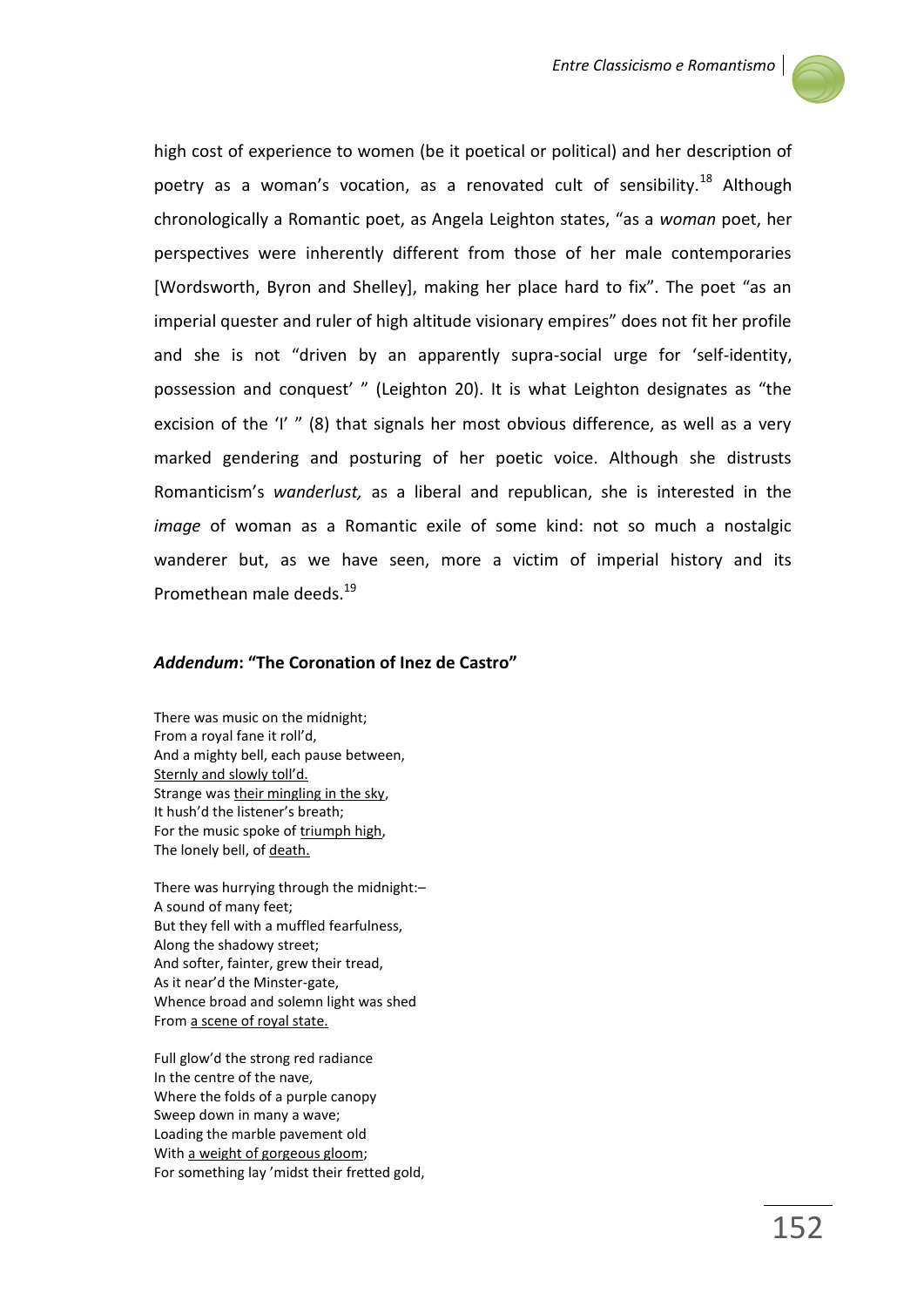

high cost of experience to women (be it poetical or political) and her description of poetry as a woman's vocation, as a renovated cult of sensibility.<sup>18</sup> Although chronologically a Romantic poet, as Angela Leighton states, "as a *woman* poet, her perspectives were inherently different from those of her male contemporaries [Wordsworth, Byron and Shelley], making her place hard to fix". The poet "as an imperial quester and ruler of high altitude visionary empires" does not fit her profile and she is not "driven by an apparently supra-social urge for 'self-identity, possession and conquest' " (Leighton 20). It is what Leighton designates as "the excision of the 'I' " (8) that signals her most obvious difference, as well as a very marked gendering and posturing of her poetic voice. Although she distrusts Romanticism's *wanderlust,* as a liberal and republican, she is interested in the *image* of woman as a Romantic exile of some kind: not so much a nostalgic wanderer but, as we have seen, more a victim of imperial history and its Promethean male deeds.<sup>19</sup>

## *Addendum***: "The Coronation of Inez de Castro"**

There was music on the midnight; From a royal fane it roll'd, And a mighty bell, each pause between, Sternly and slowly toll'd. Strange was their mingling in the sky, It hush'd the listener's breath; For the music spoke of triumph high, The lonely bell, of death.

There was hurrying through the midnight:– A sound of many feet; But they fell with a muffled fearfulness, Along the shadowy street; And softer, fainter, grew their tread, As it near'd the Minster-gate, Whence broad and solemn light was shed From a scene of royal state.

Full glow'd the strong red radiance In the centre of the nave, Where the folds of a purple canopy Sweep down in many a wave; Loading the marble pavement old With a weight of gorgeous gloom; For something lay 'midst their fretted gold,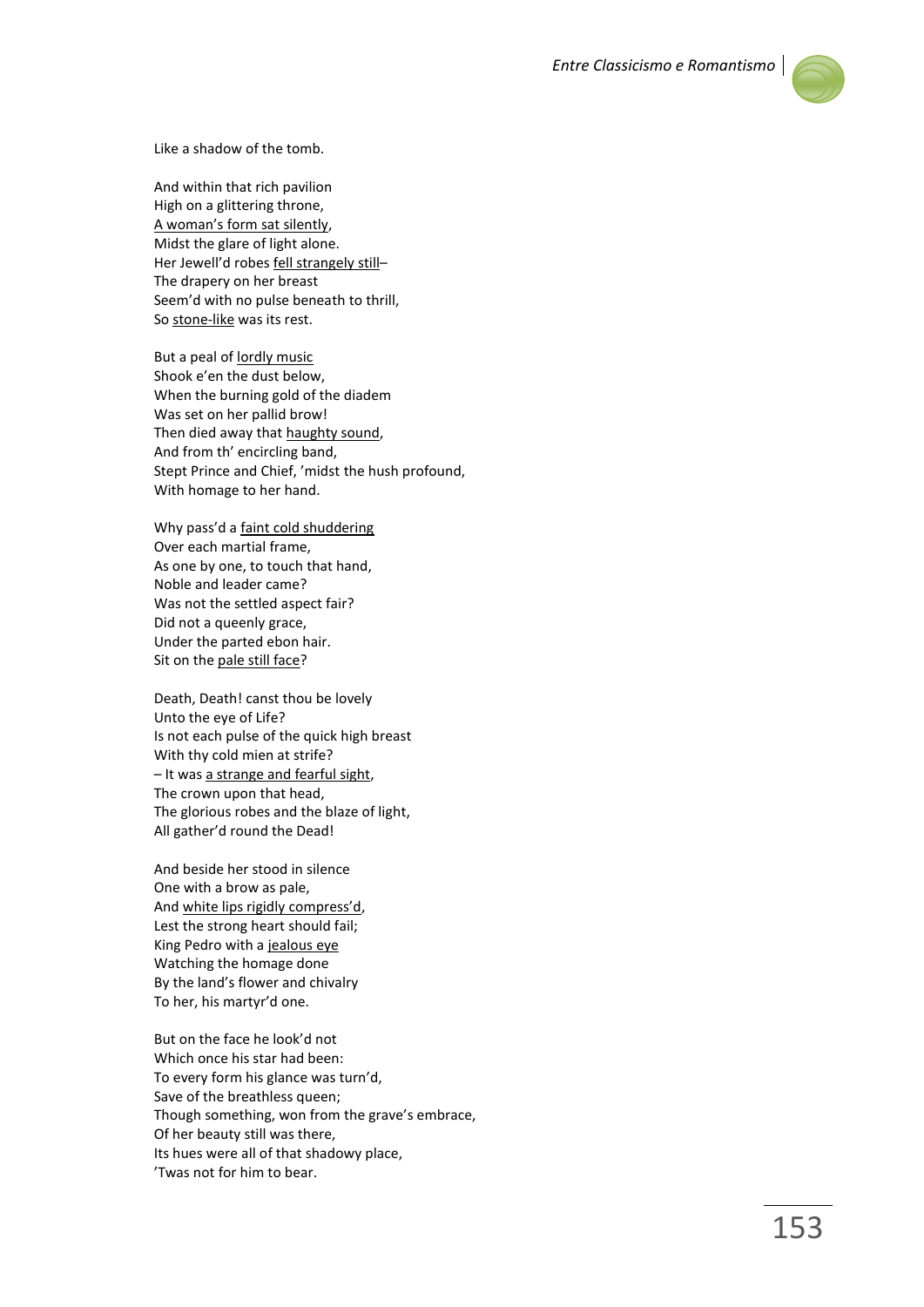

Like a shadow of the tomb.

And within that rich pavilion High on a glittering throne, A woman's form sat silently, Midst the glare of light alone. Her Jewell'd robes fell strangely still-The drapery on her breast Seem'd with no pulse beneath to thrill, So stone-like was its rest.

But a peal of lordly music Shook e'en the dust below, When the burning gold of the diadem Was set on her pallid brow! Then died away that haughty sound, And from th' encircling band, Stept Prince and Chief, 'midst the hush profound, With homage to her hand.

Why pass'd a faint cold shuddering Over each martial frame, As one by one, to touch that hand, Noble and leader came? Was not the settled aspect fair? Did not a queenly grace, Under the parted ebon hair. Sit on the pale still face?

Death, Death! canst thou be lovely Unto the eye of Life? Is not each pulse of the quick high breast With thy cold mien at strife? – It was a strange and fearful sight, The crown upon that head, The glorious robes and the blaze of light, All gather'd round the Dead!

And beside her stood in silence One with a brow as pale, And white lips rigidly compress'd, Lest the strong heart should fail; King Pedro with a jealous eye Watching the homage done By the land's flower and chivalry To her, his martyr'd one.

But on the face he look'd not Which once his star had been: To every form his glance was turn'd, Save of the breathless queen; Though something, won from the grave's embrace, Of her beauty still was there, Its hues were all of that shadowy place, 'Twas not for him to bear.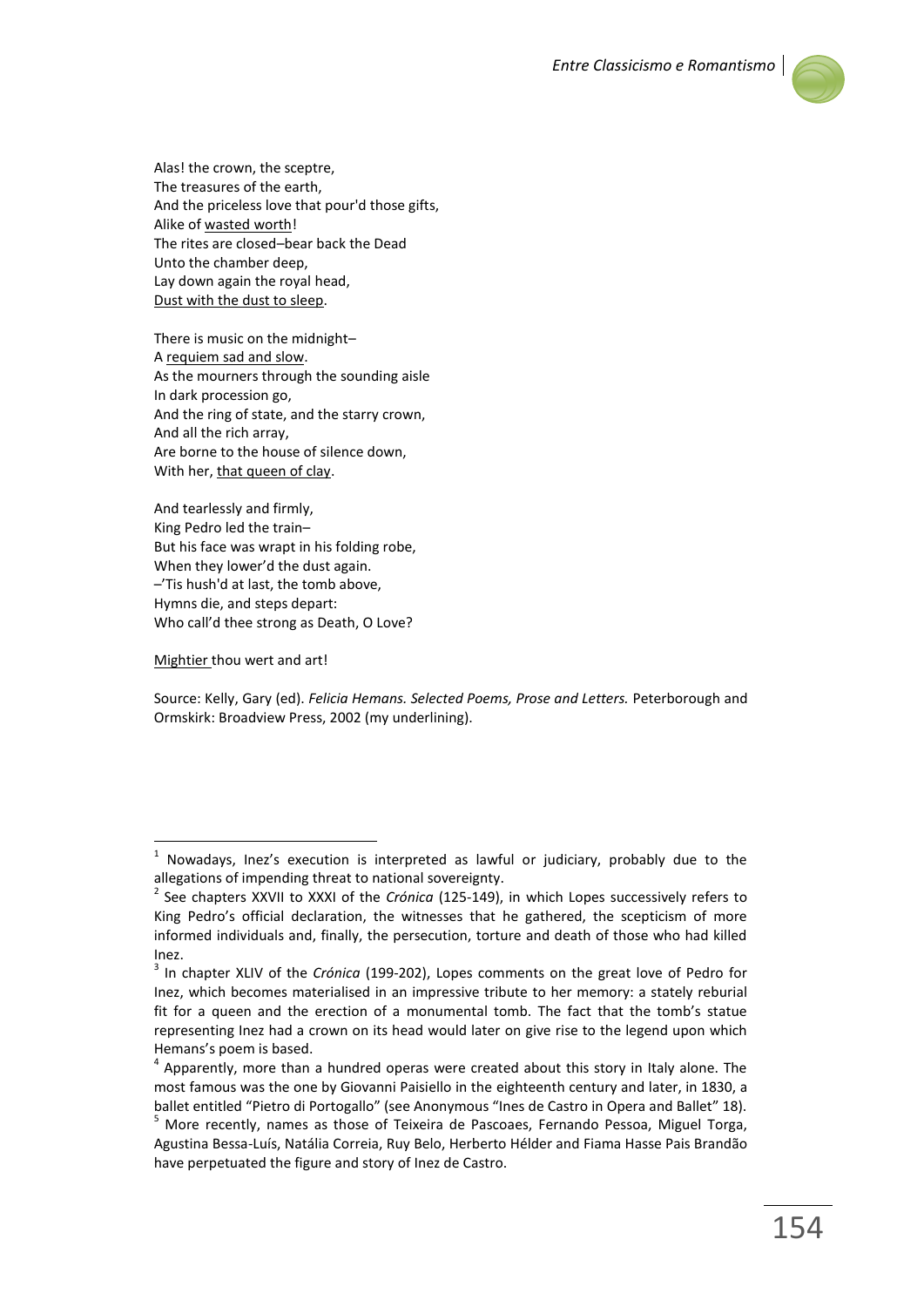

Alas! the crown, the sceptre, The treasures of the earth, And the priceless love that pour'd those gifts, Alike of wasted worth! The rites are closed–bear back the Dead Unto the chamber deep, Lay down again the royal head, Dust with the dust to sleep.

There is music on the midnight– A requiem sad and slow. As the mourners through the sounding aisle In dark procession go, And the ring of state, and the starry crown, And all the rich array, Are borne to the house of silence down, With her, that queen of clay.

And tearlessly and firmly, King Pedro led the train– But his face was wrapt in his folding robe, When they lower'd the dust again. –'Tis hush'd at last, the tomb above, Hymns die, and steps depart: Who call'd thee strong as Death, O Love?

Mightier thou wert and art!

 $\overline{a}$ 

Source: Kelly, Gary (ed). *Felicia Hemans. Selected Poems, Prose and Letters.* Peterborough and Ormskirk: Broadview Press, 2002 (my underlining).

 $1$  Nowadays, Inez's execution is interpreted as lawful or judiciary, probably due to the allegations of impending threat to national sovereignty.

<sup>2</sup> See chapters XXVII to XXXI of the *Crónica* (125-149), in which Lopes successively refers to King Pedro's official declaration, the witnesses that he gathered, the scepticism of more informed individuals and, finally, the persecution, torture and death of those who had killed Inez.

<sup>3</sup> In chapter XLIV of the *Crónica* (199-202), Lopes comments on the great love of Pedro for Inez, which becomes materialised in an impressive tribute to her memory: a stately reburial fit for a queen and the erection of a monumental tomb. The fact that the tomb's statue representing Inez had a crown on its head would later on give rise to the legend upon which Hemans's poem is based.

<sup>4</sup> Apparently, more than a hundred operas were created about this story in Italy alone. The most famous was the one by Giovanni Paisiello in the eighteenth century and later, in 1830, a ballet entitled "Pietro di Portogallo" (see Anonymous "Ines de Castro in Opera and Ballet" 18).

<sup>5</sup> More recently, names as those of Teixeira de Pascoaes, Fernando Pessoa, Miguel Torga, Agustina Bessa-Luís, Natália Correia, Ruy Belo, Herberto Hélder and Fiama Hasse Pais Brandão have perpetuated the figure and story of Inez de Castro.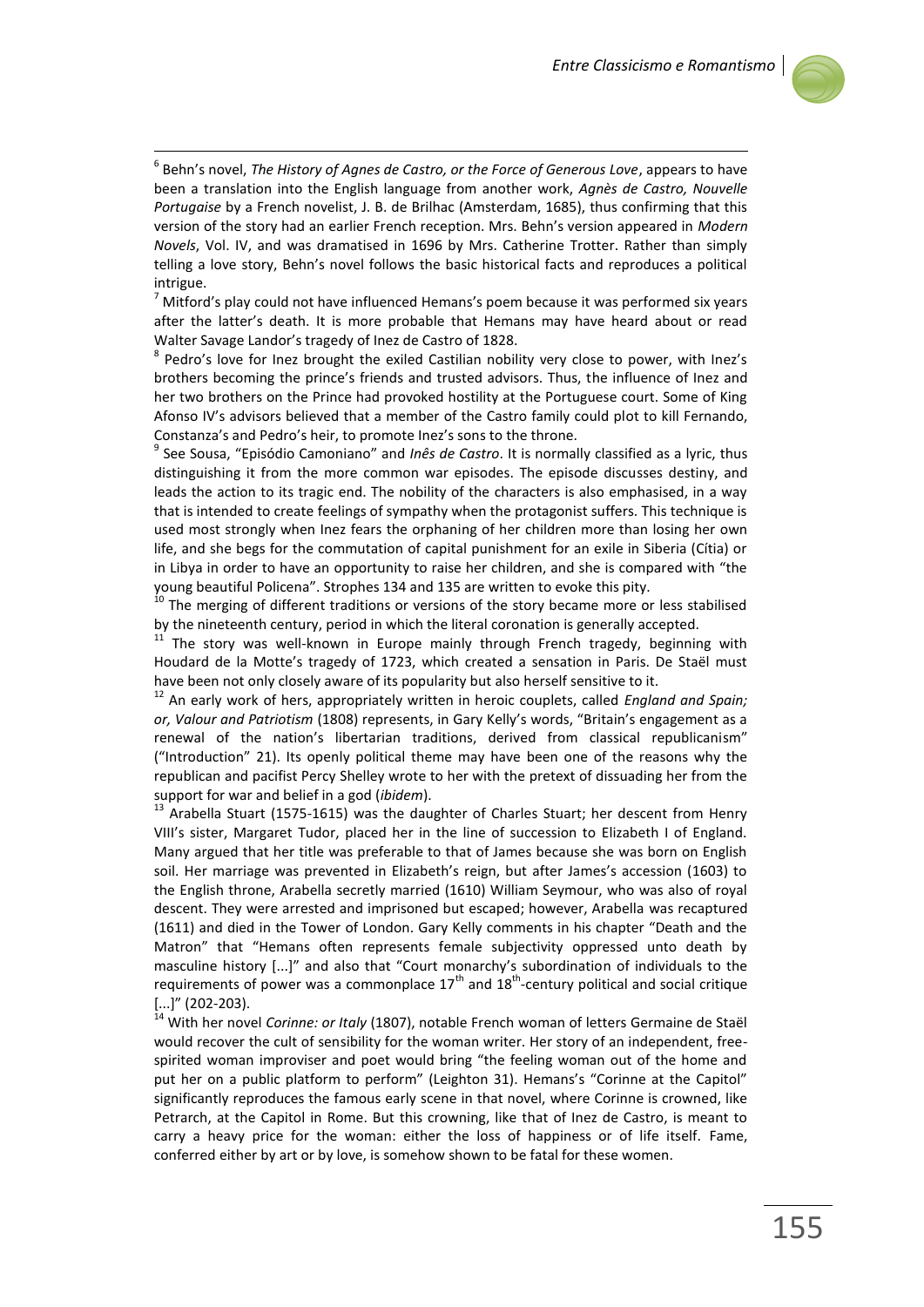

 6 Behn's novel, *The History of Agnes de Castro, or the Force of Generous Love*, appears to have been a translation into the English language from another work, *Agnès de Castro, Nouvelle Portugaise* by a French novelist, J. B. de Brilhac (Amsterdam, 1685), thus confirming that this version of the story had an earlier French reception. Mrs. Behn's version appeared in *Modern Novels*, Vol. IV, and was dramatised in 1696 by Mrs. Catherine Trotter. Rather than simply telling a love story, Behn's novel follows the basic historical facts and reproduces a political intrigue.

 $<sup>7</sup>$  Mitford's play could not have influenced Hemans's poem because it was performed six years</sup> after the latter's death. It is more probable that Hemans may have heard about or read Walter Savage Landor's tragedy of Inez de Castro of 1828.

8 Pedro's love for Inez brought the exiled Castilian nobility very close to power, with Inez's brothers becoming the prince's friends and trusted advisors. Thus, the influence of Inez and her two brothers on the Prince had provoked hostility at the Portuguese court. Some of King Afonso IV's advisors believed that a member of the Castro family could plot to kill Fernando, Constanza's and Pedro's heir, to promote Inez's sons to the throne.

9 See Sousa, "Episódio Camoniano" and *Inês de Castro*. It is normally classified as a lyric, thus distinguishing it from the more common war episodes. The episode discusses destiny, and leads the action to its tragic end. The nobility of the characters is also emphasised, in a way that is intended to create feelings of sympathy when the protagonist suffers. This technique is used most strongly when Inez fears the orphaning of her children more than losing her own life, and she begs for the commutation of capital punishment for an exile in Siberia (Cítia) or in Libya in order to have an opportunity to raise her children, and she is compared with "the young beautiful Policena". Strophes 134 and 135 are written to evoke this pity.

 $10$  The merging of different traditions or versions of the story became more or less stabilised by the nineteenth century, period in which the literal coronation is generally accepted.

 $11$  The story was well-known in Europe mainly through French tragedy, beginning with Houdard de la Motte's tragedy of 1723, which created a sensation in Paris. De Staël must have been not only closely aware of its popularity but also herself sensitive to it.

<sup>12</sup> An early work of hers, appropriately written in heroic couplets, called *England and Spain; or, Valour and Patriotism* (1808) represents, in Gary Kelly's words, "Britain's engagement as a renewal of the nation's libertarian traditions, derived from classical republicanism" ("Introduction" 21). Its openly political theme may have been one of the reasons why the republican and pacifist Percy Shelley wrote to her with the pretext of dissuading her from the support for war and belief in a god (*ibidem*).

<sup>13</sup> Arabella Stuart (1575-1615) was the daughter of Charles Stuart; her descent from Henry VIII's sister, Margaret Tudor, placed her in the line of succession to Elizabeth I of England. Many argued that her title was preferable to that of James because she was born on English soil. Her marriage was prevented in Elizabeth's reign, but after James's accession (1603) to the English throne, Arabella secretly married (1610) William Seymour, who was also of royal descent. They were arrested and imprisoned but escaped; however, Arabella was recaptured (1611) and died in the Tower of London. Gary Kelly comments in his chapter "Death and the Matron" that "Hemans often represents female subjectivity oppressed unto death by masculine history [...]" and also that "Court monarchy's subordination of individuals to the requirements of power was a commonplace  $17<sup>th</sup>$  and  $18<sup>th</sup>$ -century political and social critique  $\left[\ldots\right]''$  (202-203).

<sup>14</sup> With her novel *Corinne: or Italy* (1807), notable French woman of letters Germaine de Staël would recover the cult of sensibility for the woman writer. Her story of an independent, freespirited woman improviser and poet would bring "the feeling woman out of the home and put her on a public platform to perform" (Leighton 31). Hemans's "Corinne at the Capitol" significantly reproduces the famous early scene in that novel, where Corinne is crowned, like Petrarch, at the Capitol in Rome. But this crowning, like that of Inez de Castro, is meant to carry a heavy price for the woman: either the loss of happiness or of life itself. Fame, conferred either by art or by love, is somehow shown to be fatal for these women.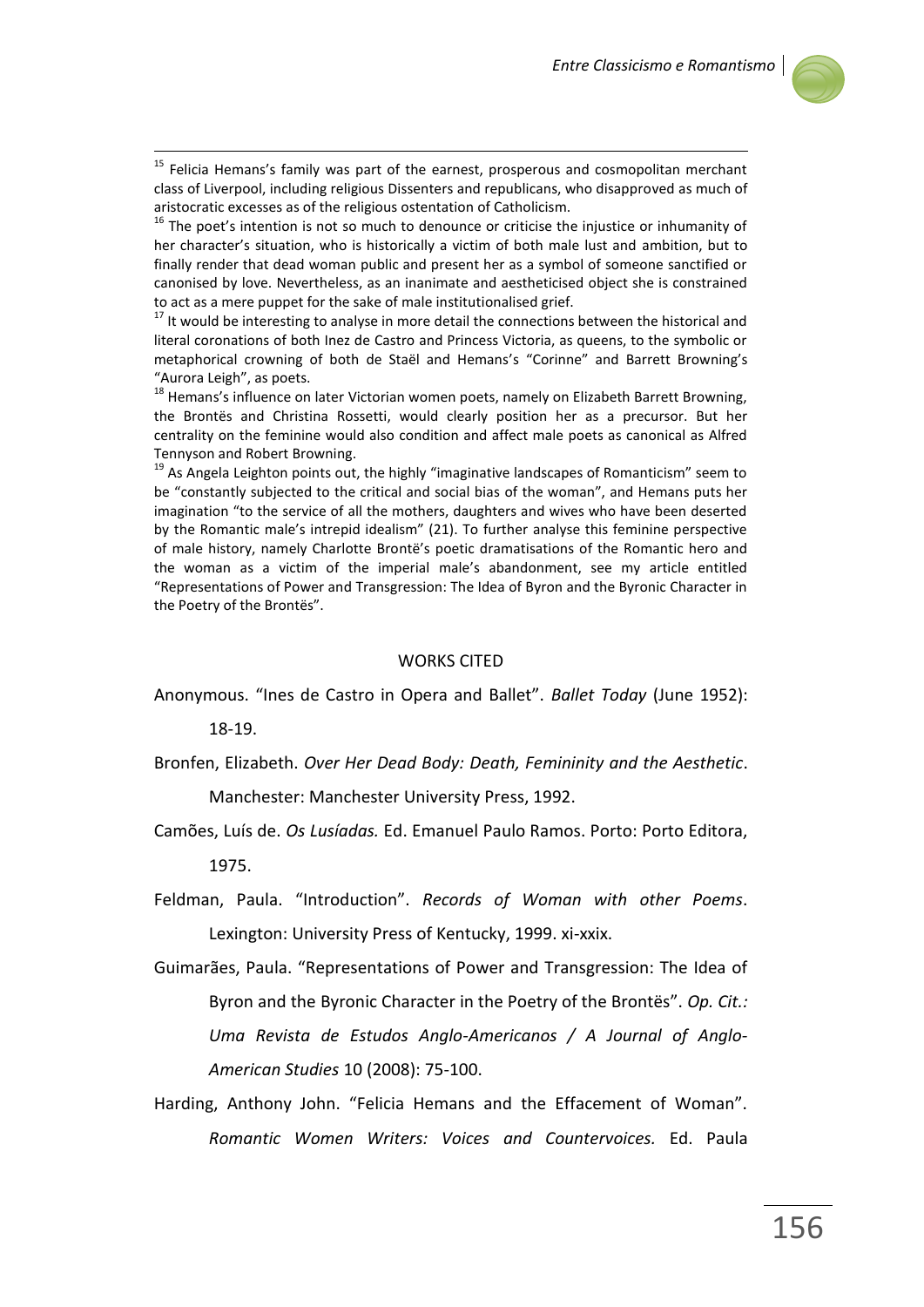

<sup>15</sup> Felicia Hemans's family was part of the earnest, prosperous and cosmopolitan merchant class of Liverpool, including religious Dissenters and republicans, who disapproved as much of aristocratic excesses as of the religious ostentation of Catholicism.

 $16$  The poet's intention is not so much to denounce or criticise the injustice or inhumanity of her character's situation, who is historically a victim of both male lust and ambition, but to finally render that dead woman public and present her as a symbol of someone sanctified or canonised by love. Nevertheless, as an inanimate and aestheticised object she is constrained to act as a mere puppet for the sake of male institutionalised grief.

 $17$  It would be interesting to analyse in more detail the connections between the historical and literal coronations of both Inez de Castro and Princess Victoria, as queens, to the symbolic or metaphorical crowning of both de Staël and Hemans's "Corinne" and Barrett Browning's "Aurora Leigh", as poets.

<sup>18</sup> Hemans's influence on later Victorian women poets, namely on Elizabeth Barrett Browning, the Brontës and Christina Rossetti, would clearly position her as a precursor. But her centrality on the feminine would also condition and affect male poets as canonical as Alfred Tennyson and Robert Browning.

 $19$  As Angela Leighton points out, the highly "imaginative landscapes of Romanticism" seem to be "constantly subjected to the critical and social bias of the woman", and Hemans puts her imagination "to the service of all the mothers, daughters and wives who have been deserted by the Romantic male's intrepid idealism" (21). To further analyse this feminine perspective of male history, namely Charlotte Brontë's poetic dramatisations of the Romantic hero and the woman as a victim of the imperial male's abandonment, see my article entitled "Representations of Power and Transgression: The Idea of Byron and the Byronic Character in the Poetry of the Brontës".

## WORKS CITED

Anonymous. "Ines de Castro in Opera and Ballet". *Ballet Today* (June 1952):

18-19.

1

- Bronfen, Elizabeth. *Over Her Dead Body: Death, Femininity and the Aesthetic*. Manchester: Manchester University Press, 1992.
- Camões, Luís de. *Os Lusíadas.* Ed. Emanuel Paulo Ramos. Porto: Porto Editora, 1975.
- Feldman, Paula. "Introduction". *Records of Woman with other Poems*. Lexington: University Press of Kentucky, 1999. xi-xxix.
- Guimarães, Paula. "Representations of Power and Transgression: The Idea of Byron and the Byronic Character in the Poetry of the Brontës". *Op. Cit.: Uma Revista de Estudos Anglo-Americanos / A Journal of Anglo-American Studies* 10 (2008): 75-100.
- Harding, Anthony John. "Felicia Hemans and the Effacement of Woman". *Romantic Women Writers: Voices and Countervoices.* Ed. Paula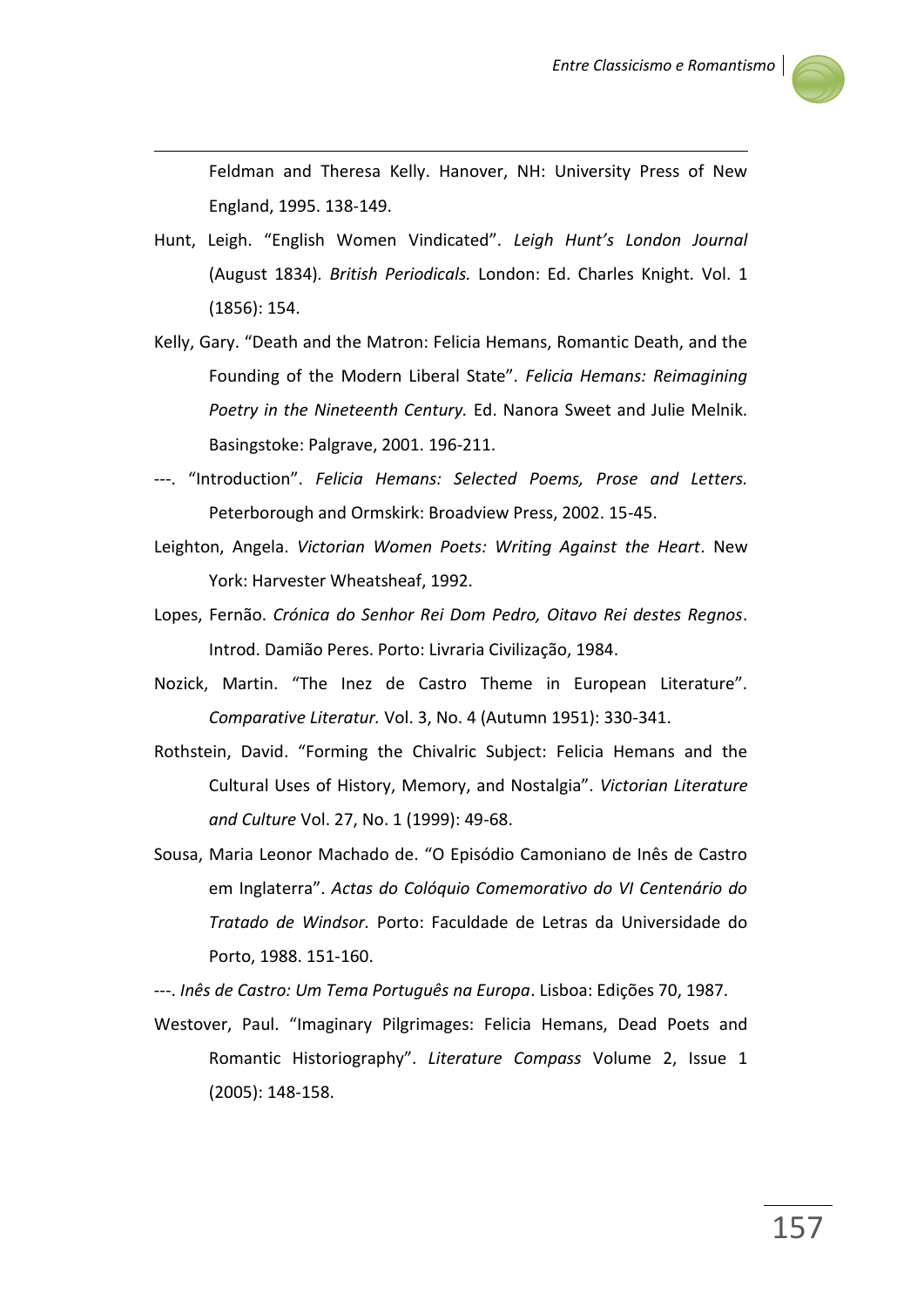

Feldman and Theresa Kelly. Hanover, NH: University Press of New England, 1995. 138-149.

Hunt, Leigh. "English Women Vindicated". *Leigh Hunt's London Journal*  (August 1834)*. British Periodicals.* London: Ed. Charles Knight*.* Vol. 1 (1856): 154.

1

- Kelly, Gary. "Death and the Matron: Felicia Hemans, Romantic Death, and the Founding of the Modern Liberal State". *Felicia Hemans: Reimagining Poetry in the Nineteenth Century.* Ed. Nanora Sweet and Julie Melnik. Basingstoke: Palgrave, 2001. 196-211.
- ---. "Introduction". *Felicia Hemans: Selected Poems, Prose and Letters.*  Peterborough and Ormskirk: Broadview Press, 2002. 15-45.
- Leighton, Angela. *Victorian Women Poets: Writing Against the Heart*. New York: Harvester Wheatsheaf, 1992.
- Lopes, Fernão. *Crónica do Senhor Rei Dom Pedro, Oitavo Rei destes Regnos*. Introd. Damião Peres. Porto: Livraria Civilização, 1984.
- Nozick, Martin. "The Inez de Castro Theme in European Literature". *Comparative Literatur.* Vol. 3, No. 4 (Autumn 1951): 330-341.
- Rothstein, David. "Forming the Chivalric Subject: Felicia Hemans and the Cultural Uses of History, Memory, and Nostalgia". *Victorian Literature and Culture* Vol. 27, No. 1 (1999): 49-68.
- Sousa, Maria Leonor Machado de. "O Episódio Camoniano de Inês de Castro em Inglaterra". *Actas do Colóquio Comemorativo do VI Centenário do Tratado de Windsor.* Porto: Faculdade de Letras da Universidade do Porto, 1988. 151-160.

---. *Inês de Castro: Um Tema Português na Europa*. Lisboa: Edições 70, 1987.

Westover, Paul. "Imaginary Pilgrimages: Felicia Hemans, Dead Poets and Romantic Historiography". *Literature Compass* Volume 2, Issue 1 (2005): 148-158.